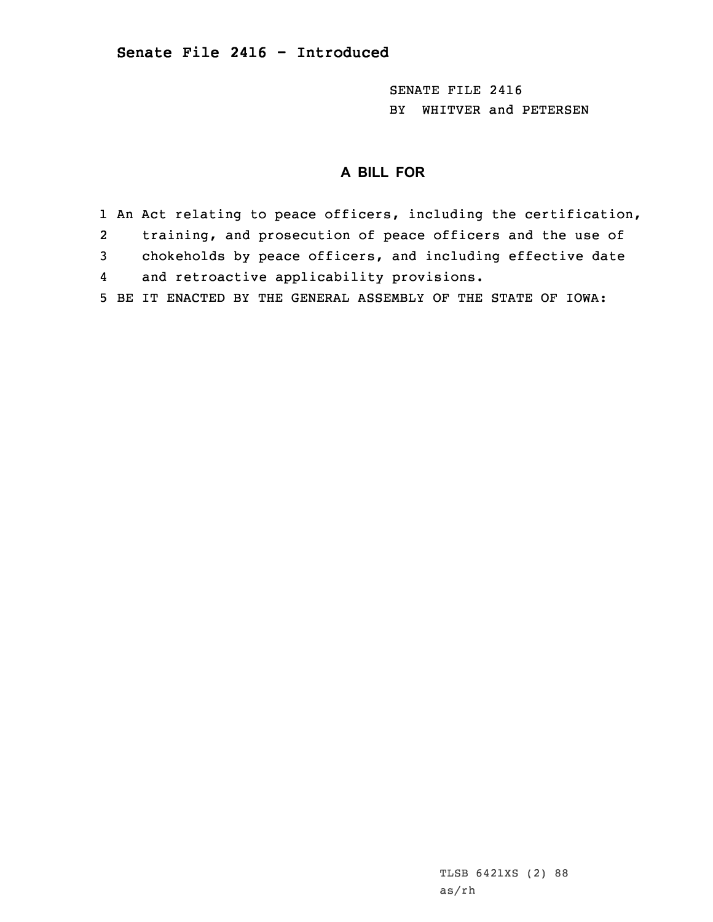SENATE FILE 2416 BY WHITVER and PETERSEN

# **A BILL FOR**

1 An Act relating to peace officers, including the certification, 2 training, and prosecution of peace officers and the use of 3 chokeholds by peace officers, and including effective date 4 and retroactive applicability provisions. 5 BE IT ENACTED BY THE GENERAL ASSEMBLY OF THE STATE OF IOWA:

> TLSB 6421XS (2) 88 as/rh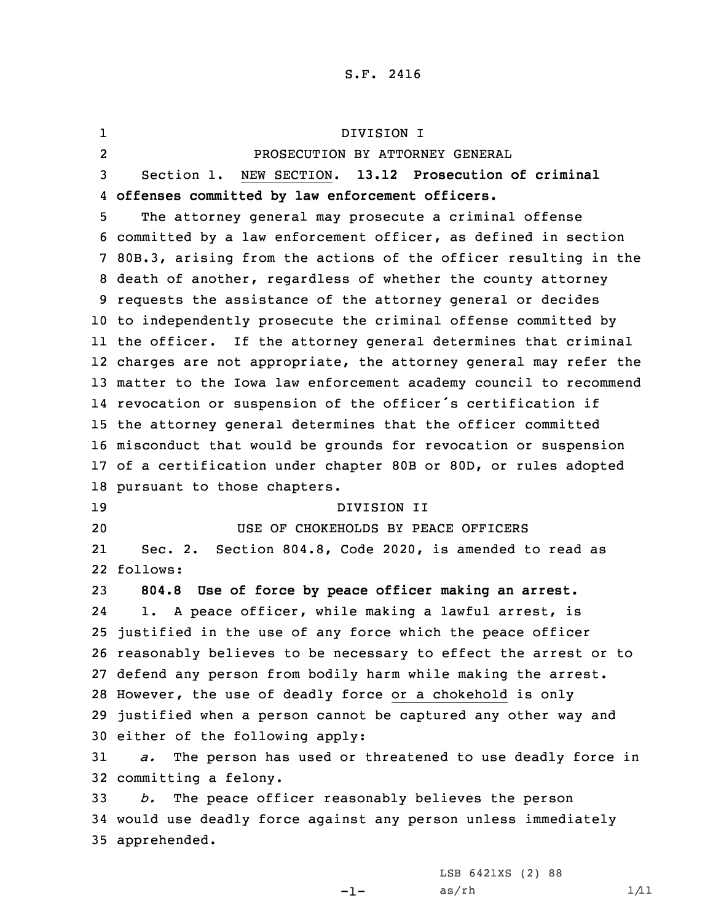1 DIVISION I 2 PROSECUTION BY ATTORNEY GENERAL Section 1. NEW SECTION. **13.12 Prosecution of criminal offenses committed by law enforcement officers.** The attorney general may prosecute <sup>a</sup> criminal offense committed by <sup>a</sup> law enforcement officer, as defined in section 80B.3, arising from the actions of the officer resulting in the death of another, regardless of whether the county attorney requests the assistance of the attorney general or decides to independently prosecute the criminal offense committed by the officer. If the attorney general determines that criminal charges are not appropriate, the attorney general may refer the matter to the Iowa law enforcement academy council to recommend revocation or suspension of the officer's certification if the attorney general determines that the officer committed misconduct that would be grounds for revocation or suspension of <sup>a</sup> certification under chapter 80B or 80D, or rules adopted pursuant to those chapters. DIVISION II USE OF CHOKEHOLDS BY PEACE OFFICERS 21 Sec. 2. Section 804.8, Code 2020, is amended to read as 22 follows: **804.8 Use of force by peace officer making an arrest.** 24 1. <sup>A</sup> peace officer, while making <sup>a</sup> lawful arrest, is justified in the use of any force which the peace officer reasonably believes to be necessary to effect the arrest or to defend any person from bodily harm while making the arrest. However, the use of deadly force or <sup>a</sup> chokehold is only justified when <sup>a</sup> person cannot be captured any other way and either of the following apply: *a.* The person has used or threatened to use deadly force in committing <sup>a</sup> felony. *b.* The peace officer reasonably believes the person would use deadly force against any person unless immediately apprehended.

-1-

LSB 6421XS (2) 88  $as/rh$   $1/11$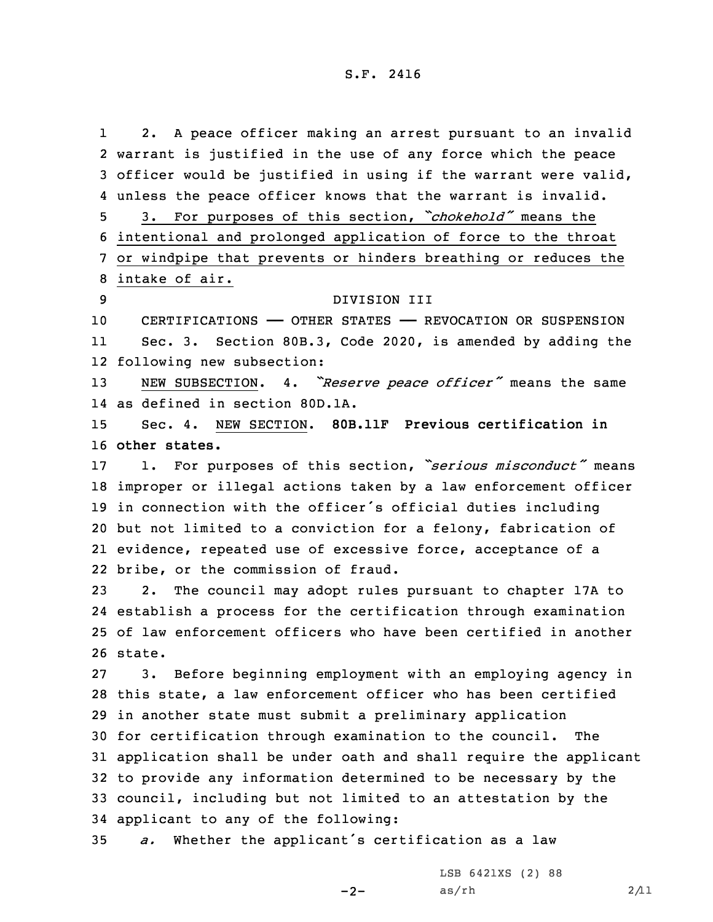1 2. <sup>A</sup> peace officer making an arrest pursuant to an invalid warrant is justified in the use of any force which the peace officer would be justified in using if the warrant were valid, unless the peace officer knows that the warrant is invalid. 3. For purposes of this section, *"chokehold"* means the intentional and prolonged application of force to the throat or windpipe that prevents or hinders breathing or reduces the intake of air. DIVISION III CERTIFICATIONS —— OTHER STATES —— REVOCATION OR SUSPENSION 11 Sec. 3. Section 80B.3, Code 2020, is amended by adding the following new subsection: NEW SUBSECTION. 4. *"Reserve peace officer"* means the same as defined in section 80D.1A. Sec. 4. NEW SECTION. **80B.11F Previous certification in other states.** 1. For purposes of this section, *"serious misconduct"* means improper or illegal actions taken by <sup>a</sup> law enforcement officer in connection with the officer's official duties including but not limited to <sup>a</sup> conviction for <sup>a</sup> felony, fabrication of evidence, repeated use of excessive force, acceptance of <sup>a</sup> bribe, or the commission of fraud. 2. The council may adopt rules pursuant to chapter 17A to establish <sup>a</sup> process for the certification through examination of law enforcement officers who have been certified in another 26 state. 3. Before beginning employment with an employing agency in this state, <sup>a</sup> law enforcement officer who has been certified in another state must submit <sup>a</sup> preliminary application for certification through examination to the council. The application shall be under oath and shall require the applicant to provide any information determined to be necessary by the council, including but not limited to an attestation by the applicant to any of the following: *a.* Whether the applicant's certification as <sup>a</sup> law

 $-2-$ 

LSB 6421XS (2) 88 as/rh  $2/11$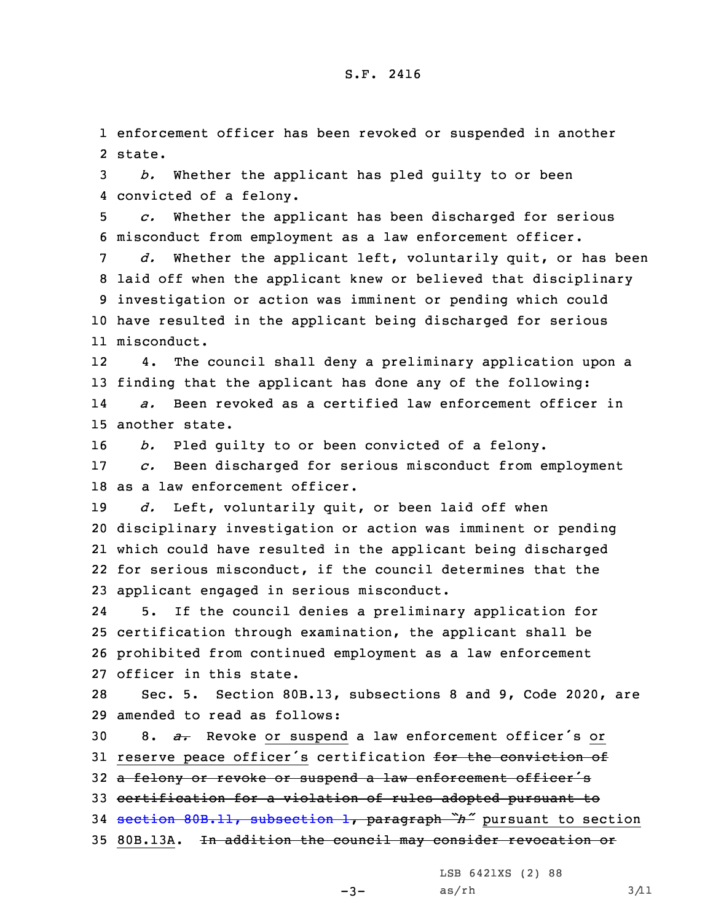1 enforcement officer has been revoked or suspended in another 2 state.

3 *b.* Whether the applicant has pled guilty to or been 4 convicted of <sup>a</sup> felony.

5 *c.* Whether the applicant has been discharged for serious 6 misconduct from employment as <sup>a</sup> law enforcement officer.

 *d.* Whether the applicant left, voluntarily quit, or has been laid off when the applicant knew or believed that disciplinary investigation or action was imminent or pending which could have resulted in the applicant being discharged for serious misconduct.

12 4. The council shall deny <sup>a</sup> preliminary application upon <sup>a</sup> 13 finding that the applicant has done any of the following: 14 *a.* Been revoked as <sup>a</sup> certified law enforcement officer in 15 another state.

16 *b.* Pled guilty to or been convicted of <sup>a</sup> felony.

17 *c.* Been discharged for serious misconduct from employment 18 as <sup>a</sup> law enforcement officer.

 *d.* Left, voluntarily quit, or been laid off when disciplinary investigation or action was imminent or pending which could have resulted in the applicant being discharged for serious misconduct, if the council determines that the applicant engaged in serious misconduct.

24 5. If the council denies <sup>a</sup> preliminary application for 25 certification through examination, the applicant shall be 26 prohibited from continued employment as <sup>a</sup> law enforcement 27 officer in this state.

28 Sec. 5. Section 80B.13, subsections 8 and 9, Code 2020, are 29 amended to read as follows:

<sup>30</sup> 8. *a.* Revoke or suspend <sup>a</sup> law enforcement officer's or 31 reserve peace officer's certification for the conviction of

32 a felony or revoke or suspend a law enforcement officer's

33 certification for <sup>a</sup> violation of rules adopted pursuant to

<sup>34</sup> section 80B.11, [subsection](https://www.legis.iowa.gov/docs/code/2020/80B.11.pdf) 1, paragraph *"h"* pursuant to section

35 80B.13A. In addition the council may consider revocation or

LSB 6421XS (2) 88

 $-3-$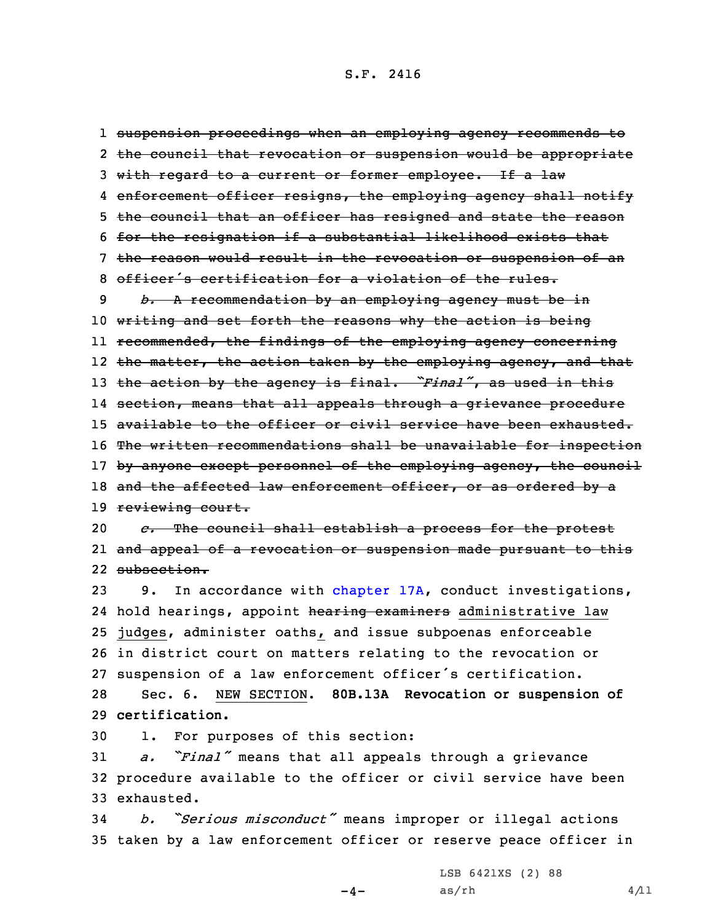suspension proceedings when an employing agency recommends to the council that revocation or suspension would be appropriate with regard to <sup>a</sup> current or former employee. If <sup>a</sup> law 4 e<del>nforcement officer resigns, the employing agency shall notify</del> the council that an officer has resigned and state the reason for the resignation if <sup>a</sup> substantial likelihood exists that the reason would result in the revocation or suspension of an officer's certification for <sup>a</sup> violation of the rules. *b.* <sup>A</sup> recommendation by an employing agency must be in writing and set forth the reasons why the action is being ll <del>recommended, the findings of the employing agency concerning</del> the matter, the action taken by the employing agency, and that the action by the agency is final. *"Final"*, as used in this section, means that all appeals through <sup>a</sup> grievance procedure available to the officer or civil service have been exhausted. 16 The written recommendations shall be unavailable for inspection 17 by anyone except personnel of the employing agency, the council 18 and the affected law enforcement officer, or as ordered by a 19 reviewing court. *c.* The council shall establish <sup>a</sup> process for the protest and appeal of <sup>a</sup> revocation or suspension made pursuant to this

22 subsection.

 9. In accordance with [chapter](https://www.legis.iowa.gov/docs/code/2020/17A.pdf) 17A, conduct investigations, 24 hold hearings, appoint <del>hearing examiners</del> administrative law judges, administer oaths, and issue subpoenas enforceable in district court on matters relating to the revocation or suspension of <sup>a</sup> law enforcement officer's certification. Sec. 6. NEW SECTION. **80B.13A Revocation or suspension of certification.**

30 1. For purposes of this section:

<sup>31</sup> *a. "Final"* means that all appeals through <sup>a</sup> grievance 32 procedure available to the officer or civil service have been 33 exhausted.

<sup>34</sup> *b. "Serious misconduct"* means improper or illegal actions 35 taken by <sup>a</sup> law enforcement officer or reserve peace officer in

 $-4-$ 

LSB 6421XS (2) 88  $as/rh$   $4/11$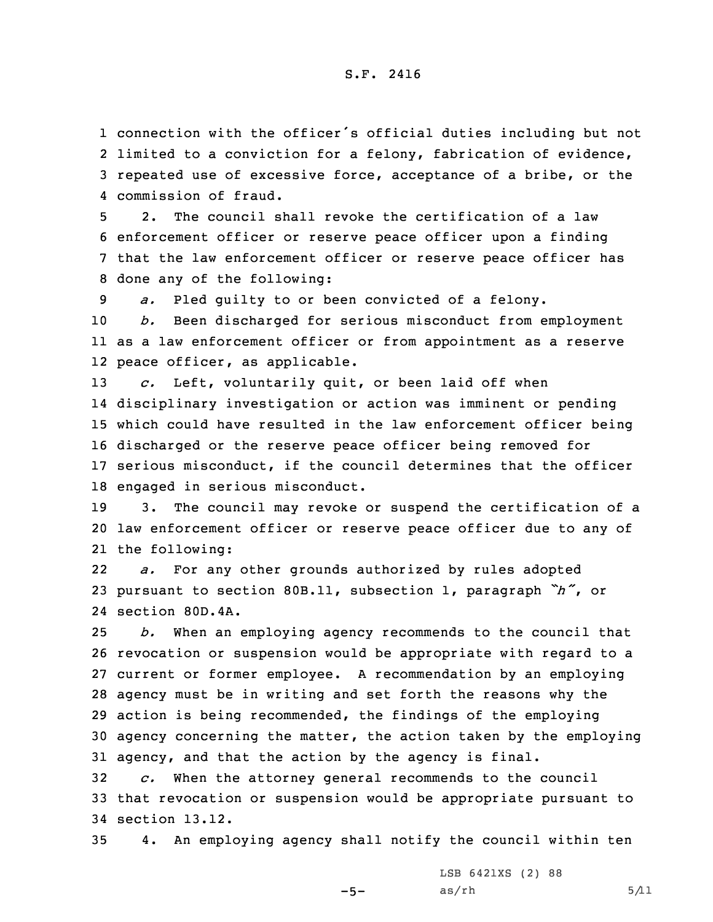connection with the officer's official duties including but not limited to <sup>a</sup> conviction for <sup>a</sup> felony, fabrication of evidence, repeated use of excessive force, acceptance of <sup>a</sup> bribe, or the commission of fraud.

 2. The council shall revoke the certification of <sup>a</sup> law enforcement officer or reserve peace officer upon <sup>a</sup> finding that the law enforcement officer or reserve peace officer has done any of the following:

9 *a.* Pled guilty to or been convicted of <sup>a</sup> felony.

10 *b.* Been discharged for serious misconduct from employment 11 as <sup>a</sup> law enforcement officer or from appointment as <sup>a</sup> reserve 12 peace officer, as applicable.

 *c.* Left, voluntarily quit, or been laid off when disciplinary investigation or action was imminent or pending which could have resulted in the law enforcement officer being discharged or the reserve peace officer being removed for serious misconduct, if the council determines that the officer engaged in serious misconduct.

19 3. The council may revoke or suspend the certification of <sup>a</sup> 20 law enforcement officer or reserve peace officer due to any of 21 the following:

22 *a.* For any other grounds authorized by rules adopted <sup>23</sup> pursuant to section 80B.11, subsection 1, paragraph *"h"*, or 24 section 80D.4A.

 *b.* When an employing agency recommends to the council that revocation or suspension would be appropriate with regard to <sup>a</sup> current or former employee. <sup>A</sup> recommendation by an employing agency must be in writing and set forth the reasons why the action is being recommended, the findings of the employing agency concerning the matter, the action taken by the employing agency, and that the action by the agency is final.

32 *c.* When the attorney general recommends to the council 33 that revocation or suspension would be appropriate pursuant to 34 section 13.12.

35 4. An employing agency shall notify the council within ten

 $-5-$ 

LSB 6421XS (2) 88  $as/rh$  5/11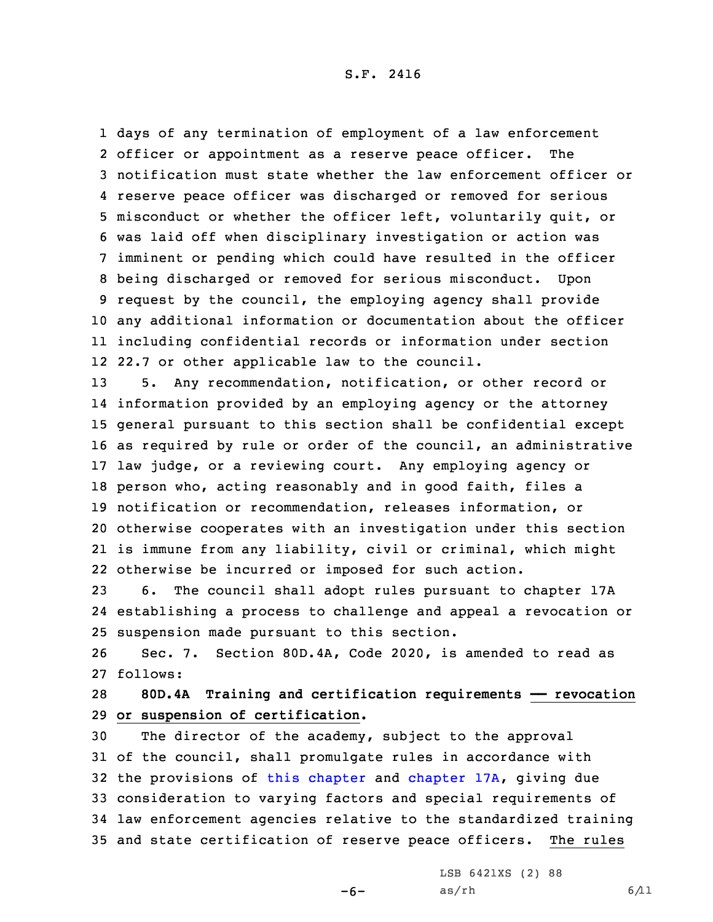days of any termination of employment of <sup>a</sup> law enforcement officer or appointment as <sup>a</sup> reserve peace officer. The notification must state whether the law enforcement officer or reserve peace officer was discharged or removed for serious misconduct or whether the officer left, voluntarily quit, or was laid off when disciplinary investigation or action was imminent or pending which could have resulted in the officer being discharged or removed for serious misconduct. Upon request by the council, the employing agency shall provide any additional information or documentation about the officer including confidential records or information under section 22.7 or other applicable law to the council.

 5. Any recommendation, notification, or other record or information provided by an employing agency or the attorney general pursuant to this section shall be confidential except as required by rule or order of the council, an administrative law judge, or <sup>a</sup> reviewing court. Any employing agency or person who, acting reasonably and in good faith, files <sup>a</sup> notification or recommendation, releases information, or otherwise cooperates with an investigation under this section is immune from any liability, civil or criminal, which might otherwise be incurred or imposed for such action.

23 6. The council shall adopt rules pursuant to chapter 17A 24 establishing <sup>a</sup> process to challenge and appeal <sup>a</sup> revocation or 25 suspension made pursuant to this section.

26 Sec. 7. Section 80D.4A, Code 2020, is amended to read as 27 follows:

28 **80D.4A Training and certification requirements —— revocation** 29 **or suspension of certification.**

 The director of the academy, subject to the approval of the council, shall promulgate rules in accordance with the provisions of this [chapter](https://www.legis.iowa.gov/docs/code/2020/80D.pdf) and [chapter](https://www.legis.iowa.gov/docs/code/2020/17A.pdf) 17A, giving due consideration to varying factors and special requirements of law enforcement agencies relative to the standardized training and state certification of reserve peace officers. The rules

 $-6-$ 

LSB 6421XS (2) 88 as/rh 6/11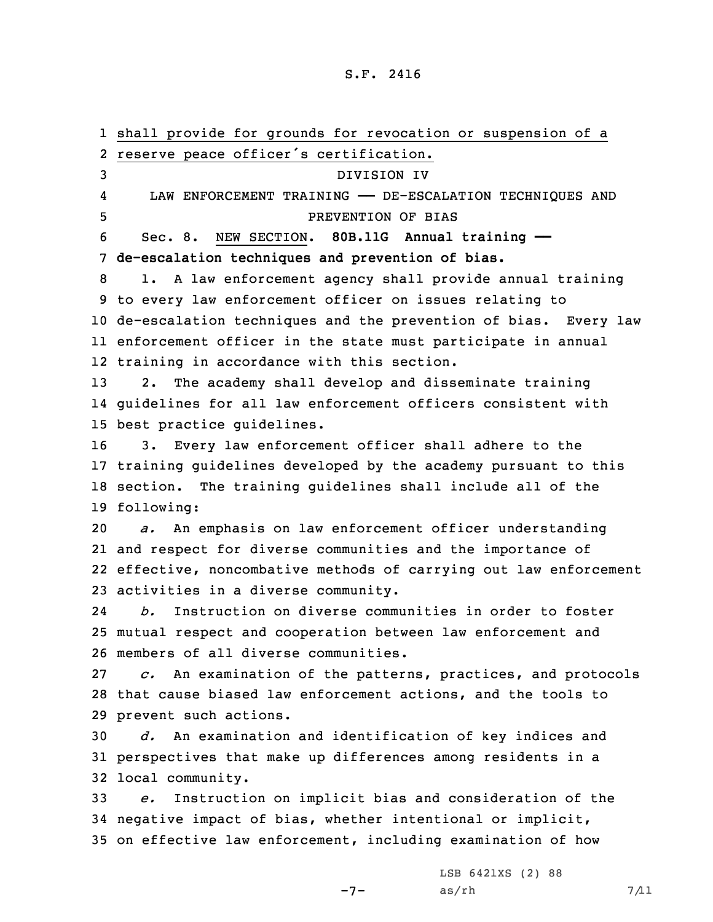shall provide for grounds for revocation or suspension of <sup>a</sup> reserve peace officer's certification. DIVISION IV 4 LAW ENFORCEMENT TRAINING —— DE-ESCALATION TECHNIQUES AND PREVENTION OF BIAS Sec. 8. NEW SECTION. **80B.11G Annual training —— de-escalation techniques and prevention of bias.** 1. <sup>A</sup> law enforcement agency shall provide annual training to every law enforcement officer on issues relating to de-escalation techniques and the prevention of bias. Every law enforcement officer in the state must participate in annual training in accordance with this section. 2. The academy shall develop and disseminate training guidelines for all law enforcement officers consistent with best practice guidelines. 3. Every law enforcement officer shall adhere to the training guidelines developed by the academy pursuant to this section. The training guidelines shall include all of the following: *a.* An emphasis on law enforcement officer understanding and respect for diverse communities and the importance of effective, noncombative methods of carrying out law enforcement activities in <sup>a</sup> diverse community. 24 *b.* Instruction on diverse communities in order to foster mutual respect and cooperation between law enforcement and members of all diverse communities. *c.* An examination of the patterns, practices, and protocols that cause biased law enforcement actions, and the tools to prevent such actions. *d.* An examination and identification of key indices and perspectives that make up differences among residents in <sup>a</sup> local community. *e.* Instruction on implicit bias and consideration of the negative impact of bias, whether intentional or implicit, on effective law enforcement, including examination of how

 $-7-$ 

LSB 6421XS (2) 88  $as/rh$  7/11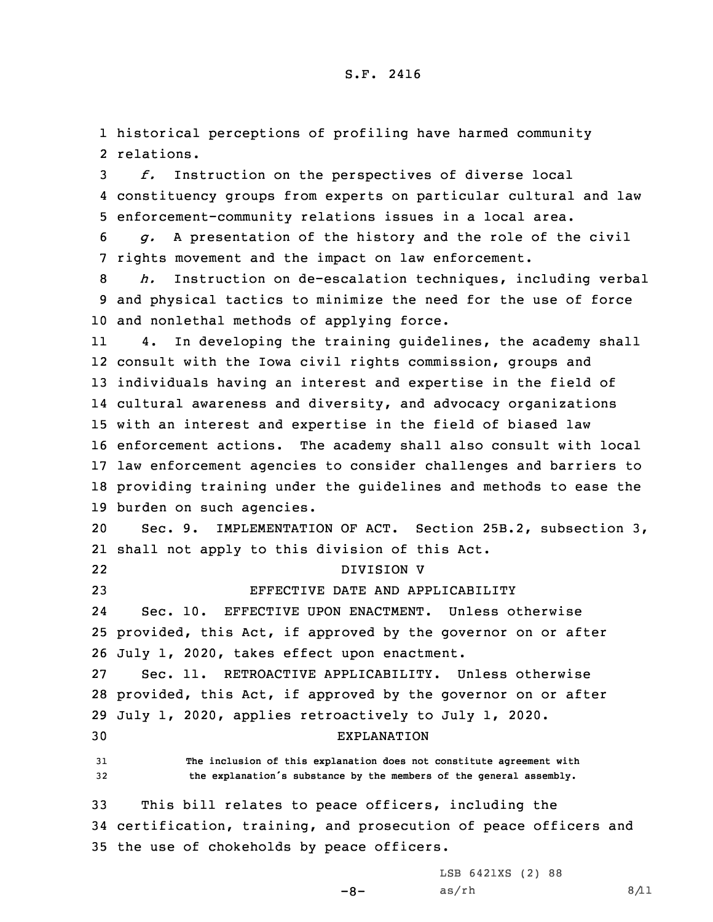1 historical perceptions of profiling have harmed community 2 relations.

3 *f.* Instruction on the perspectives of diverse local 4 constituency groups from experts on particular cultural and law 5 enforcement-community relations issues in <sup>a</sup> local area.

6 *g.* <sup>A</sup> presentation of the history and the role of the civil 7 rights movement and the impact on law enforcement.

8 *h.* Instruction on de-escalation techniques, including verbal 9 and physical tactics to minimize the need for the use of force 10 and nonlethal methods of applying force.

11 4. In developing the training guidelines, the academy shall consult with the Iowa civil rights commission, groups and individuals having an interest and expertise in the field of cultural awareness and diversity, and advocacy organizations with an interest and expertise in the field of biased law enforcement actions. The academy shall also consult with local law enforcement agencies to consider challenges and barriers to providing training under the guidelines and methods to ease the burden on such agencies.

20 Sec. 9. IMPLEMENTATION OF ACT. Section 25B.2, subsection 3, 21 shall not apply to this division of this Act.

DIVISION V

22

23 EFFECTIVE DATE AND APPLICABILITY

24 Sec. 10. EFFECTIVE UPON ENACTMENT. Unless otherwise 25 provided, this Act, if approved by the governor on or after 26 July 1, 2020, takes effect upon enactment.

 Sec. 11. RETROACTIVE APPLICABILITY. Unless otherwise provided, this Act, if approved by the governor on or after July 1, 2020, applies retroactively to July 1, 2020. EXPLANATION

31 **The inclusion of this explanation does not constitute agreement with** <sup>32</sup> **the explanation's substance by the members of the general assembly.**

33 This bill relates to peace officers, including the 34 certification, training, and prosecution of peace officers and 35 the use of chokeholds by peace officers.

LSB 6421XS (2) 88

 $-8-$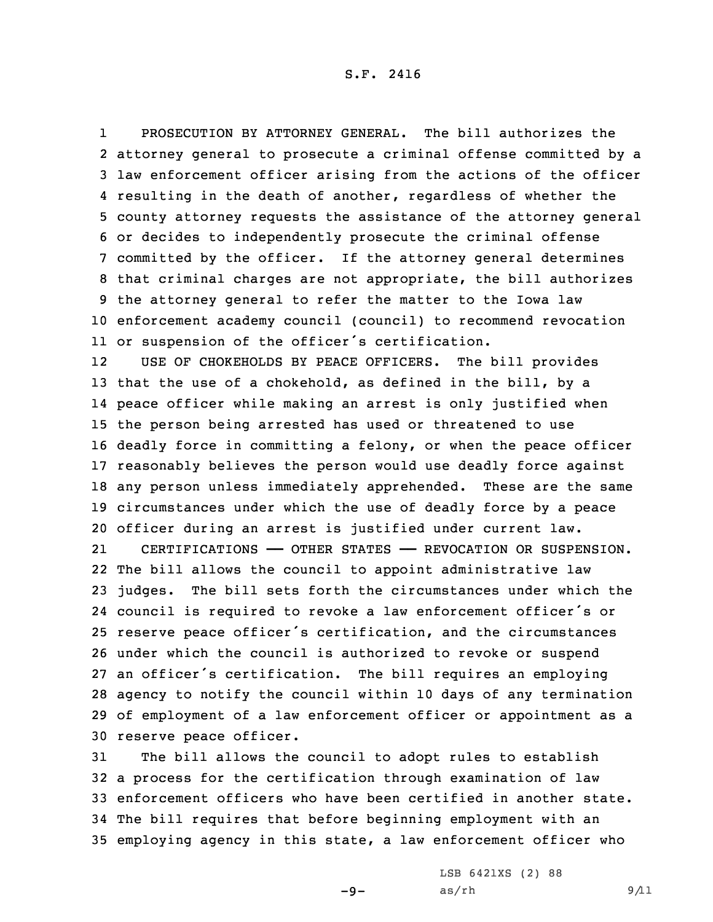1 PROSECUTION BY ATTORNEY GENERAL. The bill authorizes the attorney general to prosecute <sup>a</sup> criminal offense committed by <sup>a</sup> law enforcement officer arising from the actions of the officer resulting in the death of another, regardless of whether the county attorney requests the assistance of the attorney general or decides to independently prosecute the criminal offense committed by the officer. If the attorney general determines that criminal charges are not appropriate, the bill authorizes the attorney general to refer the matter to the Iowa law enforcement academy council (council) to recommend revocation or suspension of the officer's certification.

12 USE OF CHOKEHOLDS BY PEACE OFFICERS. The bill provides that the use of <sup>a</sup> chokehold, as defined in the bill, by <sup>a</sup> peace officer while making an arrest is only justified when the person being arrested has used or threatened to use deadly force in committing <sup>a</sup> felony, or when the peace officer reasonably believes the person would use deadly force against any person unless immediately apprehended. These are the same circumstances under which the use of deadly force by <sup>a</sup> peace officer during an arrest is justified under current law.

21 CERTIFICATIONS —— OTHER STATES —— REVOCATION OR SUSPENSION. The bill allows the council to appoint administrative law judges. The bill sets forth the circumstances under which the council is required to revoke <sup>a</sup> law enforcement officer's or reserve peace officer's certification, and the circumstances under which the council is authorized to revoke or suspend an officer's certification. The bill requires an employing agency to notify the council within 10 days of any termination of employment of <sup>a</sup> law enforcement officer or appointment as <sup>a</sup> reserve peace officer.

 The bill allows the council to adopt rules to establish <sup>a</sup> process for the certification through examination of law enforcement officers who have been certified in another state. The bill requires that before beginning employment with an employing agency in this state, <sup>a</sup> law enforcement officer who

 $-9-$ 

LSB 6421XS (2) 88 as/rh 9/11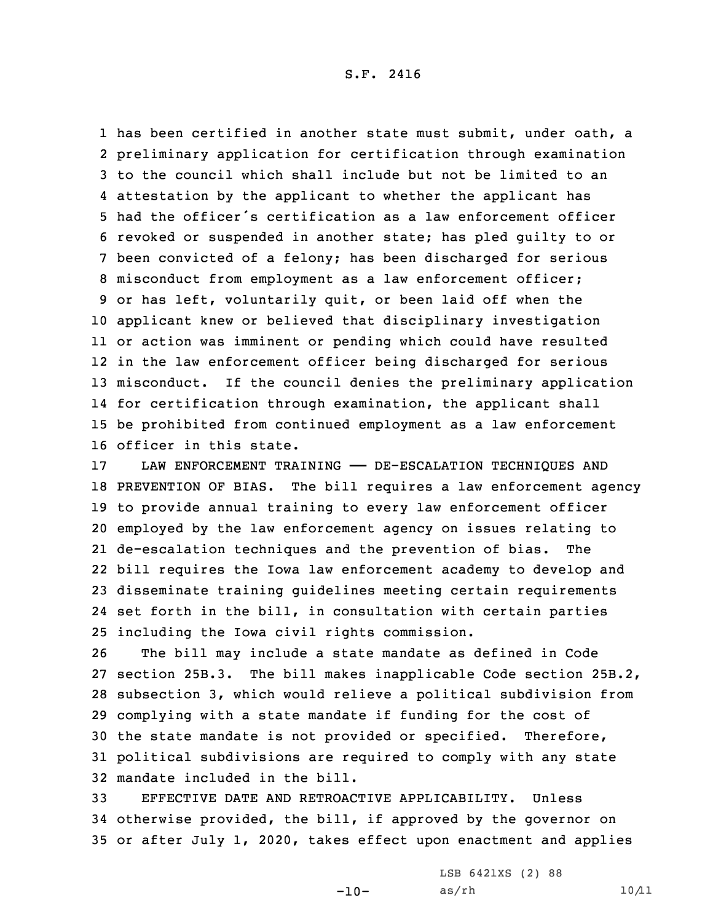has been certified in another state must submit, under oath, <sup>a</sup> preliminary application for certification through examination to the council which shall include but not be limited to an attestation by the applicant to whether the applicant has had the officer's certification as <sup>a</sup> law enforcement officer revoked or suspended in another state; has pled guilty to or been convicted of <sup>a</sup> felony; has been discharged for serious misconduct from employment as <sup>a</sup> law enforcement officer; or has left, voluntarily quit, or been laid off when the applicant knew or believed that disciplinary investigation or action was imminent or pending which could have resulted in the law enforcement officer being discharged for serious misconduct. If the council denies the preliminary application for certification through examination, the applicant shall be prohibited from continued employment as <sup>a</sup> law enforcement officer in this state.

 LAW ENFORCEMENT TRAINING —— DE-ESCALATION TECHNIQUES AND PREVENTION OF BIAS. The bill requires <sup>a</sup> law enforcement agency to provide annual training to every law enforcement officer employed by the law enforcement agency on issues relating to de-escalation techniques and the prevention of bias. The bill requires the Iowa law enforcement academy to develop and disseminate training guidelines meeting certain requirements set forth in the bill, in consultation with certain parties including the Iowa civil rights commission.

 The bill may include <sup>a</sup> state mandate as defined in Code section 25B.3. The bill makes inapplicable Code section 25B.2, subsection 3, which would relieve <sup>a</sup> political subdivision from complying with <sup>a</sup> state mandate if funding for the cost of the state mandate is not provided or specified. Therefore, political subdivisions are required to comply with any state mandate included in the bill.

33 EFFECTIVE DATE AND RETROACTIVE APPLICABILITY. Unless 34 otherwise provided, the bill, if approved by the governor on 35 or after July 1, 2020, takes effect upon enactment and applies

-10-

LSB 6421XS (2) 88 as/rh  $10/11$